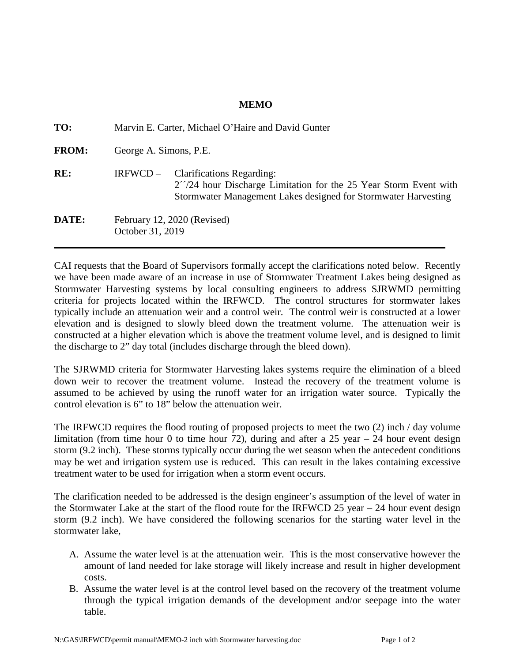## **MEMO**

| TO:          | Marvin E. Carter, Michael O'Haire and David Gunter |                                                                                                                                                                                        |
|--------------|----------------------------------------------------|----------------------------------------------------------------------------------------------------------------------------------------------------------------------------------------|
| <b>FROM:</b> | George A. Simons, P.E.                             |                                                                                                                                                                                        |
| RE:          | $IRFWCD -$                                         | <b>Clarifications Regarding:</b><br>$2^{\prime\prime}/24$ hour Discharge Limitation for the 25 Year Storm Event with<br>Stormwater Management Lakes designed for Stormwater Harvesting |
| DATE:        | February 12, 2020 (Revised)<br>October 31, 2019    |                                                                                                                                                                                        |

CAI requests that the Board of Supervisors formally accept the clarifications noted below. Recently we have been made aware of an increase in use of Stormwater Treatment Lakes being designed as Stormwater Harvesting systems by local consulting engineers to address SJRWMD permitting criteria for projects located within the IRFWCD. The control structures for stormwater lakes typically include an attenuation weir and a control weir. The control weir is constructed at a lower elevation and is designed to slowly bleed down the treatment volume. The attenuation weir is constructed at a higher elevation which is above the treatment volume level, and is designed to limit the discharge to 2" day total (includes discharge through the bleed down).

The SJRWMD criteria for Stormwater Harvesting lakes systems require the elimination of a bleed down weir to recover the treatment volume. Instead the recovery of the treatment volume is assumed to be achieved by using the runoff water for an irrigation water source. Typically the control elevation is 6" to 18" below the attenuation weir.

The IRFWCD requires the flood routing of proposed projects to meet the two (2) inch / day volume limitation (from time hour 0 to time hour 72), during and after a 25 year  $-$  24 hour event design storm (9.2 inch). These storms typically occur during the wet season when the antecedent conditions may be wet and irrigation system use is reduced. This can result in the lakes containing excessive treatment water to be used for irrigation when a storm event occurs.

The clarification needed to be addressed is the design engineer's assumption of the level of water in the Stormwater Lake at the start of the flood route for the IRFWCD 25 year – 24 hour event design storm (9.2 inch). We have considered the following scenarios for the starting water level in the stormwater lake,

- A. Assume the water level is at the attenuation weir. This is the most conservative however the amount of land needed for lake storage will likely increase and result in higher development costs.
- B. Assume the water level is at the control level based on the recovery of the treatment volume through the typical irrigation demands of the development and/or seepage into the water table.